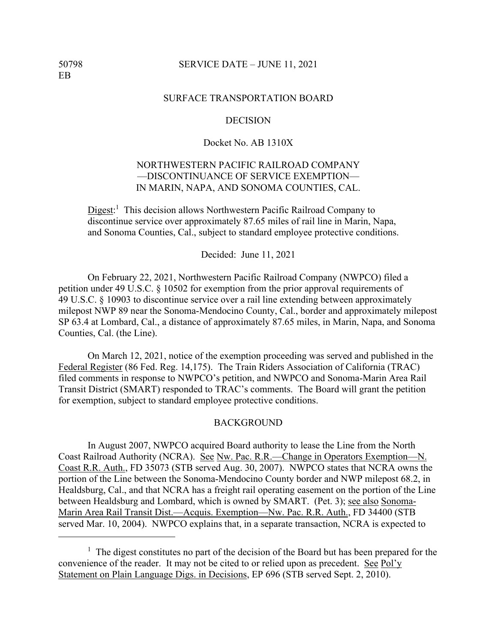#### 50798 SERVICE DATE – JUNE 11, 2021

### SURFACE TRANSPORTATION BOARD

#### **DECISION**

## Docket No. AB 1310X

# NORTHWESTERN PACIFIC RAILROAD COMPANY —DISCONTINUANCE OF SERVICE EXEMPTION— IN MARIN, NAPA, AND SONOMA COUNTIES, CAL.

Digest:<sup>1</sup> This decision allows Northwestern Pacific Railroad Company to discontinue service over approximately 87.65 miles of rail line in Marin, Napa, and Sonoma Counties, Cal., subject to standard employee protective conditions.

Decided: June 11, 2021

On February 22, 2021, Northwestern Pacific Railroad Company (NWPCO) filed a petition under 49 U.S.C. § 10502 for exemption from the prior approval requirements of 49 U.S.C. § 10903 to discontinue service over a rail line extending between approximately milepost NWP 89 near the Sonoma-Mendocino County, Cal., border and approximately milepost SP 63.4 at Lombard, Cal., a distance of approximately 87.65 miles, in Marin, Napa, and Sonoma Counties, Cal. (the Line).

On March 12, 2021, notice of the exemption proceeding was served and published in the Federal Register (86 Fed. Reg. 14,175). The Train Riders Association of California (TRAC) filed comments in response to NWPCO's petition, and NWPCO and Sonoma-Marin Area Rail Transit District (SMART) responded to TRAC's comments. The Board will grant the petition for exemption, subject to standard employee protective conditions.

#### BACKGROUND

 In August 2007, NWPCO acquired Board authority to lease the Line from the North Coast Railroad Authority (NCRA). See Nw. Pac. R.R.—Change in Operators Exemption—N. Coast R.R. Auth., FD 35073 (STB served Aug. 30, 2007). NWPCO states that NCRA owns the portion of the Line between the Sonoma-Mendocino County border and NWP milepost 68.2, in Healdsburg, Cal., and that NCRA has a freight rail operating easement on the portion of the Line between Healdsburg and Lombard, which is owned by SMART. (Pet. 3); see also Sonoma-Marin Area Rail Transit Dist.—Acquis. Exemption—Nw. Pac. R.R. Auth., FD 34400 (STB served Mar. 10, 2004). NWPCO explains that, in a separate transaction, NCRA is expected to

 $<sup>1</sup>$  The digest constitutes no part of the decision of the Board but has been prepared for the</sup> convenience of the reader. It may not be cited to or relied upon as precedent. See Pol'y Statement on Plain Language Digs. in Decisions, EP 696 (STB served Sept. 2, 2010).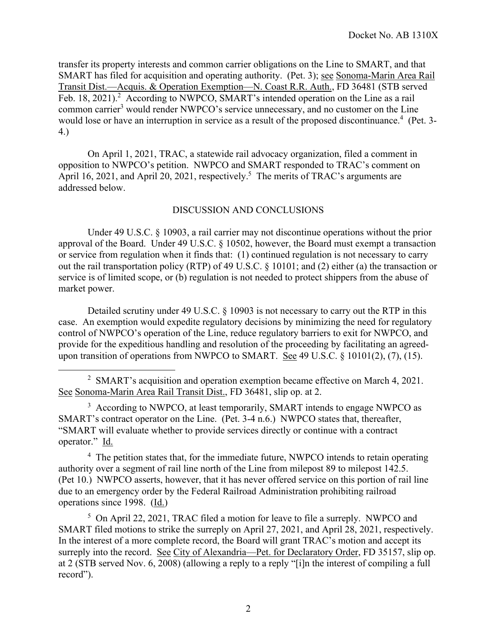transfer its property interests and common carrier obligations on the Line to SMART, and that SMART has filed for acquisition and operating authority. (Pet. 3); see Sonoma-Marin Area Rail Transit Dist.—Acquis. & Operation Exemption—N. Coast R.R. Auth., FD 36481 (STB served Feb. 18, 2021).<sup>2</sup> According to NWPCO, SMART's intended operation on the Line as a rail common carrier<sup>3</sup> would render NWPCO's service unnecessary, and no customer on the Line would lose or have an interruption in service as a result of the proposed discontinuance.<sup>4</sup> (Pet. 3-4.)

On April 1, 2021, TRAC, a statewide rail advocacy organization, filed a comment in opposition to NWPCO's petition. NWPCO and SMART responded to TRAC's comment on April 16, 2021, and April 20, 2021, respectively.<sup>5</sup> The merits of TRAC's arguments are addressed below.

## DISCUSSION AND CONCLUSIONS

Under 49 U.S.C. § 10903, a rail carrier may not discontinue operations without the prior approval of the Board. Under 49 U.S.C. § 10502, however, the Board must exempt a transaction or service from regulation when it finds that: (1) continued regulation is not necessary to carry out the rail transportation policy (RTP) of 49 U.S.C. § 10101; and (2) either (a) the transaction or service is of limited scope, or (b) regulation is not needed to protect shippers from the abuse of market power.

Detailed scrutiny under 49 U.S.C. § 10903 is not necessary to carry out the RTP in this case. An exemption would expedite regulatory decisions by minimizing the need for regulatory control of NWPCO's operation of the Line, reduce regulatory barriers to exit for NWPCO, and provide for the expeditious handling and resolution of the proceeding by facilitating an agreedupon transition of operations from NWPCO to SMART. See 49 U.S.C. § 10101(2), (7), (15).

<sup>3</sup> According to NWPCO, at least temporarily, SMART intends to engage NWPCO as SMART's contract operator on the Line. (Pet. 3-4 n.6.) NWPCO states that, thereafter, "SMART will evaluate whether to provide services directly or continue with a contract operator." Id.

<sup>4</sup> The petition states that, for the immediate future, NWPCO intends to retain operating authority over a segment of rail line north of the Line from milepost 89 to milepost 142.5. (Pet 10.) NWPCO asserts, however, that it has never offered service on this portion of rail line due to an emergency order by the Federal Railroad Administration prohibiting railroad operations since 1998. (Id.)

<sup>5</sup> On April 22, 2021, TRAC filed a motion for leave to file a surreply. NWPCO and SMART filed motions to strike the surreply on April 27, 2021, and April 28, 2021, respectively. In the interest of a more complete record, the Board will grant TRAC's motion and accept its surreply into the record. See City of Alexandria—Pet. for Declaratory Order, FD 35157, slip op. at 2 (STB served Nov. 6, 2008) (allowing a reply to a reply "[i]n the interest of compiling a full record").

<sup>&</sup>lt;sup>2</sup> SMART's acquisition and operation exemption became effective on March 4, 2021. See Sonoma-Marin Area Rail Transit Dist., FD 36481, slip op. at 2.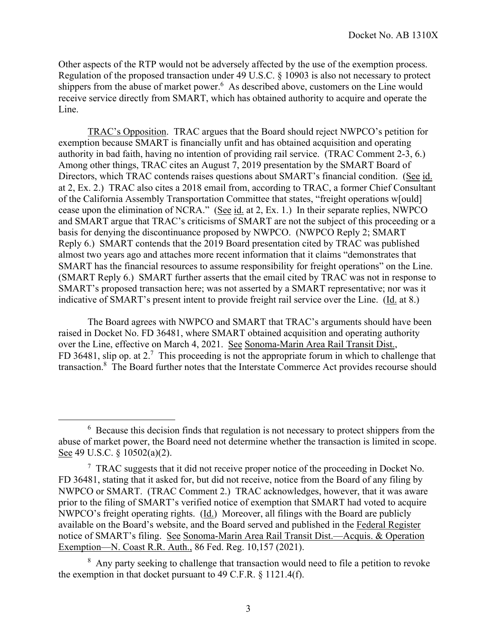Other aspects of the RTP would not be adversely affected by the use of the exemption process. Regulation of the proposed transaction under 49 U.S.C. § 10903 is also not necessary to protect shippers from the abuse of market power.<sup>6</sup> As described above, customers on the Line would receive service directly from SMART, which has obtained authority to acquire and operate the Line.

 TRAC's Opposition. TRAC argues that the Board should reject NWPCO's petition for exemption because SMART is financially unfit and has obtained acquisition and operating authority in bad faith, having no intention of providing rail service. (TRAC Comment 2-3, 6.) Among other things, TRAC cites an August 7, 2019 presentation by the SMART Board of Directors, which TRAC contends raises questions about SMART's financial condition. (See id. at 2, Ex. 2.) TRAC also cites a 2018 email from, according to TRAC, a former Chief Consultant of the California Assembly Transportation Committee that states, "freight operations w[ould] cease upon the elimination of NCRA." (See id. at 2, Ex. 1.) In their separate replies, NWPCO and SMART argue that TRAC's criticisms of SMART are not the subject of this proceeding or a basis for denying the discontinuance proposed by NWPCO. (NWPCO Reply 2; SMART Reply 6.) SMART contends that the 2019 Board presentation cited by TRAC was published almost two years ago and attaches more recent information that it claims "demonstrates that SMART has the financial resources to assume responsibility for freight operations" on the Line. (SMART Reply 6.) SMART further asserts that the email cited by TRAC was not in response to SMART's proposed transaction here; was not asserted by a SMART representative; nor was it indicative of SMART's present intent to provide freight rail service over the Line. (Id. at 8.)

The Board agrees with NWPCO and SMART that TRAC's arguments should have been raised in Docket No. FD 36481, where SMART obtained acquisition and operating authority over the Line, effective on March 4, 2021. See Sonoma-Marin Area Rail Transit Dist., FD 36481, slip op. at 2.<sup>7</sup> This proceeding is not the appropriate forum in which to challenge that transaction.<sup>8</sup> The Board further notes that the Interstate Commerce Act provides recourse should

 $6$  Because this decision finds that regulation is not necessary to protect shippers from the abuse of market power, the Board need not determine whether the transaction is limited in scope. See 49 U.S.C. § 10502(a)(2).

 $7$  TRAC suggests that it did not receive proper notice of the proceeding in Docket No. FD 36481, stating that it asked for, but did not receive, notice from the Board of any filing by NWPCO or SMART. (TRAC Comment 2.) TRAC acknowledges, however, that it was aware prior to the filing of SMART's verified notice of exemption that SMART had voted to acquire NWPCO's freight operating rights. (Id.) Moreover, all filings with the Board are publicly available on the Board's website, and the Board served and published in the Federal Register notice of SMART's filing. See Sonoma-Marin Area Rail Transit Dist.—Acquis. & Operation Exemption—N. Coast R.R. Auth., 86 Fed. Reg. 10,157 (2021).

<sup>&</sup>lt;sup>8</sup> Any party seeking to challenge that transaction would need to file a petition to revoke the exemption in that docket pursuant to 49 C.F.R. § 1121.4(f).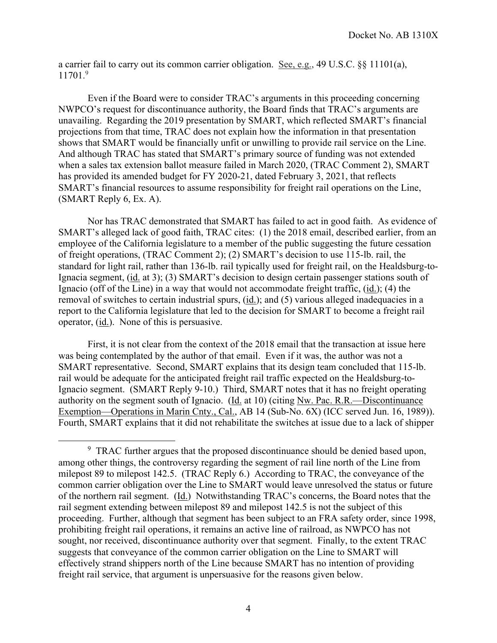a carrier fail to carry out its common carrier obligation. See, e.g., 49 U.S.C.  $\S$  11101(a), 11701. 9

Even if the Board were to consider TRAC's arguments in this proceeding concerning NWPCO's request for discontinuance authority, the Board finds that TRAC's arguments are unavailing. Regarding the 2019 presentation by SMART, which reflected SMART's financial projections from that time, TRAC does not explain how the information in that presentation shows that SMART would be financially unfit or unwilling to provide rail service on the Line. And although TRAC has stated that SMART's primary source of funding was not extended when a sales tax extension ballot measure failed in March 2020, (TRAC Comment 2), SMART has provided its amended budget for FY 2020-21, dated February 3, 2021, that reflects SMART's financial resources to assume responsibility for freight rail operations on the Line, (SMART Reply 6, Ex. A).

Nor has TRAC demonstrated that SMART has failed to act in good faith. As evidence of SMART's alleged lack of good faith, TRAC cites: (1) the 2018 email, described earlier, from an employee of the California legislature to a member of the public suggesting the future cessation of freight operations, (TRAC Comment 2); (2) SMART's decision to use 115-lb. rail, the standard for light rail, rather than 136-lb. rail typically used for freight rail, on the Healdsburg-to-Ignacia segment, (id. at 3); (3) SMART's decision to design certain passenger stations south of Ignacio (off of the Line) in a way that would not accommodate freight traffic, (id.); (4) the removal of switches to certain industrial spurs, (id.); and (5) various alleged inadequacies in a report to the California legislature that led to the decision for SMART to become a freight rail operator, (id.). None of this is persuasive.

First, it is not clear from the context of the 2018 email that the transaction at issue here was being contemplated by the author of that email. Even if it was, the author was not a SMART representative. Second, SMART explains that its design team concluded that 115-lb. rail would be adequate for the anticipated freight rail traffic expected on the Healdsburg-to-Ignacio segment. (SMART Reply 9-10.) Third, SMART notes that it has no freight operating authority on the segment south of Ignacio. (Id. at 10) (citing Nw. Pac. R.R.—Discontinuance Exemption—Operations in Marin Cnty., Cal., AB 14 (Sub-No. 6X) (ICC served Jun. 16, 1989)). Fourth, SMART explains that it did not rehabilitate the switches at issue due to a lack of shipper

<sup>&</sup>lt;sup>9</sup> TRAC further argues that the proposed discontinuance should be denied based upon, among other things, the controversy regarding the segment of rail line north of the Line from milepost 89 to milepost 142.5. (TRAC Reply 6.) According to TRAC, the conveyance of the common carrier obligation over the Line to SMART would leave unresolved the status or future of the northern rail segment. (Id.) Notwithstanding TRAC's concerns, the Board notes that the rail segment extending between milepost 89 and milepost 142.5 is not the subject of this proceeding. Further, although that segment has been subject to an FRA safety order, since 1998, prohibiting freight rail operations, it remains an active line of railroad, as NWPCO has not sought, nor received, discontinuance authority over that segment. Finally, to the extent TRAC suggests that conveyance of the common carrier obligation on the Line to SMART will effectively strand shippers north of the Line because SMART has no intention of providing freight rail service, that argument is unpersuasive for the reasons given below.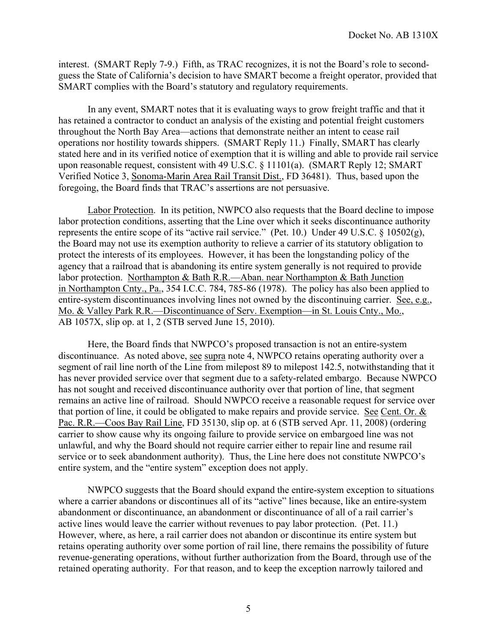interest. (SMART Reply 7-9.) Fifth, as TRAC recognizes, it is not the Board's role to secondguess the State of California's decision to have SMART become a freight operator, provided that SMART complies with the Board's statutory and regulatory requirements.

In any event, SMART notes that it is evaluating ways to grow freight traffic and that it has retained a contractor to conduct an analysis of the existing and potential freight customers throughout the North Bay Area—actions that demonstrate neither an intent to cease rail operations nor hostility towards shippers. (SMART Reply 11.) Finally, SMART has clearly stated here and in its verified notice of exemption that it is willing and able to provide rail service upon reasonable request, consistent with 49 U.S.C. § 11101(a). (SMART Reply 12; SMART Verified Notice 3, Sonoma-Marin Area Rail Transit Dist., FD 36481). Thus, based upon the foregoing, the Board finds that TRAC's assertions are not persuasive.

 Labor Protection. In its petition, NWPCO also requests that the Board decline to impose labor protection conditions, asserting that the Line over which it seeks discontinuance authority represents the entire scope of its "active rail service." (Pet. 10.) Under 49 U.S.C. § 10502(g), the Board may not use its exemption authority to relieve a carrier of its statutory obligation to protect the interests of its employees. However, it has been the longstanding policy of the agency that a railroad that is abandoning its entire system generally is not required to provide labor protection. Northampton & Bath R.R.—Aban. near Northampton & Bath Junction in Northampton Cnty., Pa., 354 I.C.C. 784, 785-86 (1978). The policy has also been applied to entire-system discontinuances involving lines not owned by the discontinuing carrier. See, e.g., Mo. & Valley Park R.R.—Discontinuance of Serv. Exemption—in St. Louis Cnty., Mo., AB 1057X, slip op. at 1, 2 (STB served June 15, 2010).

Here, the Board finds that NWPCO's proposed transaction is not an entire-system discontinuance. As noted above, see supra note 4, NWPCO retains operating authority over a segment of rail line north of the Line from milepost 89 to milepost 142.5, notwithstanding that it has never provided service over that segment due to a safety-related embargo. Because NWPCO has not sought and received discontinuance authority over that portion of line, that segment remains an active line of railroad. Should NWPCO receive a reasonable request for service over that portion of line, it could be obligated to make repairs and provide service. See Cent. Or. & Pac. R.R.—Coos Bay Rail Line, FD 35130, slip op. at 6 (STB served Apr. 11, 2008) (ordering carrier to show cause why its ongoing failure to provide service on embargoed line was not unlawful, and why the Board should not require carrier either to repair line and resume rail service or to seek abandonment authority). Thus, the Line here does not constitute NWPCO's entire system, and the "entire system" exception does not apply.

NWPCO suggests that the Board should expand the entire-system exception to situations where a carrier abandons or discontinues all of its "active" lines because, like an entire-system abandonment or discontinuance, an abandonment or discontinuance of all of a rail carrier's active lines would leave the carrier without revenues to pay labor protection. (Pet. 11.) However, where, as here, a rail carrier does not abandon or discontinue its entire system but retains operating authority over some portion of rail line, there remains the possibility of future revenue-generating operations, without further authorization from the Board, through use of the retained operating authority. For that reason, and to keep the exception narrowly tailored and